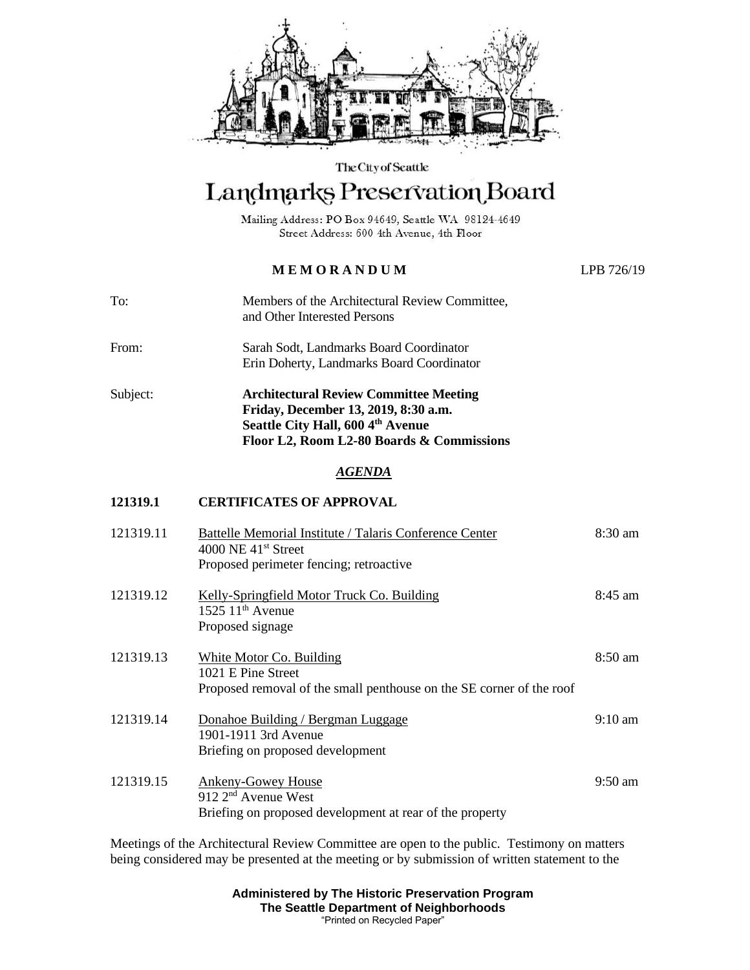

The City of Seattle

## Landmarks Preservation Board

Mailing Address: PO Box 94649, Seattle WA 98124-4649 Street Address: 600 4th Avenue, 4th Floor

## **M E M O R A N D U M** LPB 726/19

To: Members of the Architectural Review Committee, and Other Interested Persons From: Sarah Sodt, Landmarks Board Coordinator Erin Doherty, Landmarks Board Coordinator Subject: **Architectural Review Committee Meeting Friday, December 13, 2019, 8:30 a.m. Seattle City Hall, 600 4th Avenue Floor L2, Room L2-80 Boards & Commissions**

## *AGENDA*

## **121319.1 CERTIFICATES OF APPROVAL**

| 121319.11 | Battelle Memorial Institute / Talaris Conference Center<br>$4000$ NE $41st$ Street                                     | $8:30 \text{ am}$ |
|-----------|------------------------------------------------------------------------------------------------------------------------|-------------------|
|           | Proposed perimeter fencing; retroactive                                                                                |                   |
| 121319.12 | Kelly-Springfield Motor Truck Co. Building<br>$1525$ $11th$ Avenue<br>Proposed signage                                 | $8:45 \text{ am}$ |
| 121319.13 | White Motor Co. Building<br>1021 E Pine Street<br>Proposed removal of the small penthouse on the SE corner of the roof | $8:50 \text{ am}$ |
| 121319.14 | Donahoe Building / Bergman Luggage<br>1901-1911 3rd Avenue<br>Briefing on proposed development                         | $9:10 \text{ am}$ |
| 121319.15 | Ankeny-Gowey House<br>$912$ $2nd$ Avenue West<br>Briefing on proposed development at rear of the property              | $9:50 \text{ am}$ |

Meetings of the Architectural Review Committee are open to the public. Testimony on matters being considered may be presented at the meeting or by submission of written statement to the

> **Administered by The Historic Preservation Program The Seattle Department of Neighborhoods** "Printed on Recycled Paper"